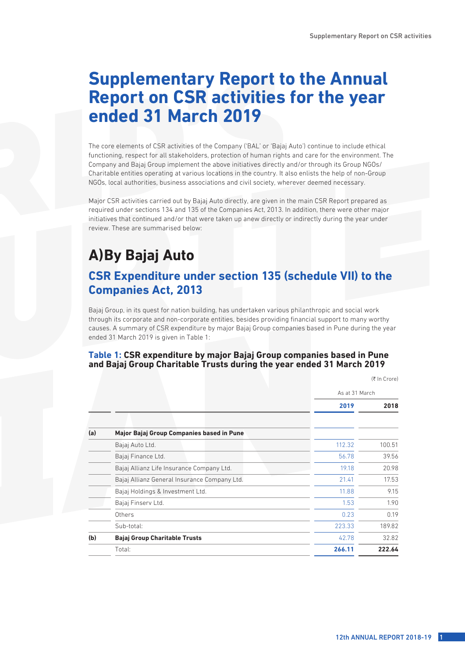# **Supplementary Report to the Annual Report on CSR activities for the year ended 31 March 2019**

The core elements of CSR activities of the Company ('BAL' or 'Bajaj Auto') continue to include ethical functioning, respect for all stakeholders, protection of human rights and care for the environment. The Company and Bajaj Group implement the above initiatives directly and/or through its Group NGOs/ Charitable entities operating at various locations in the country. It also enlists the help of non-Group NGOs, local authorities, business associations and civil society, wherever deemed necessary.

Major CSR activities carried out by Bajaj Auto directly, are given in the main CSR Report prepared as required under sections 134 and 135 of the Companies Act, 2013. In addition, there were other major initiatives that continued and/or that were taken up anew directly or indirectly during the year under review. These are summarised below:

# **A)By Bajaj Auto**

# **CSR Expenditure under section 135 (schedule VII) to the Companies Act, 2013**

Bajaj Group, in its quest for nation building, has undertaken various philanthropic and social work through its corporate and non-corporate entities, besides providing financial support to many worthy causes. A summary of CSR expenditure by major Bajaj Group companies based in Pune during the year ended 31 March 2019 is given in Table 1:

## **Table 1: CSR expenditure by major Bajaj Group companies based in Pune and Bajaj Group Charitable Trusts during the year ended 31 March 2019**

|     |                                              |        | $(1)$ $III$ $C$ $I$ $C$ $I$ |  |  |
|-----|----------------------------------------------|--------|-----------------------------|--|--|
|     |                                              |        | As at 31 March              |  |  |
|     |                                              | 2019   | 2018                        |  |  |
| (a) | Major Bajaj Group Companies based in Pune    |        |                             |  |  |
|     | Bajaj Auto Ltd.                              | 112.32 | 100.51                      |  |  |
|     | Bajaj Finance Ltd.                           | 56.78  | 39.56                       |  |  |
|     | Bajaj Allianz Life Insurance Company Ltd.    | 19.18  | 20.98                       |  |  |
|     | Bajaj Allianz General Insurance Company Ltd. | 21.41  | 17.53                       |  |  |
|     | Bajaj Holdings & Investment Ltd.             | 11.88  | 9.15                        |  |  |
|     | Bajaj Finserv Ltd.                           | 1.53   | 1.90                        |  |  |
|     | Others                                       | 0.23   | 0.19                        |  |  |
|     | Sub-total:                                   | 223.33 | 189.82                      |  |  |
| (b) | <b>Bajaj Group Charitable Trusts</b>         | 42.78  | 32.82                       |  |  |
|     | Total:                                       | 266.11 | 222.64                      |  |  |

12th ANNUAL REPORT 2018-19

 $(F \ln C_{\text{rora}})$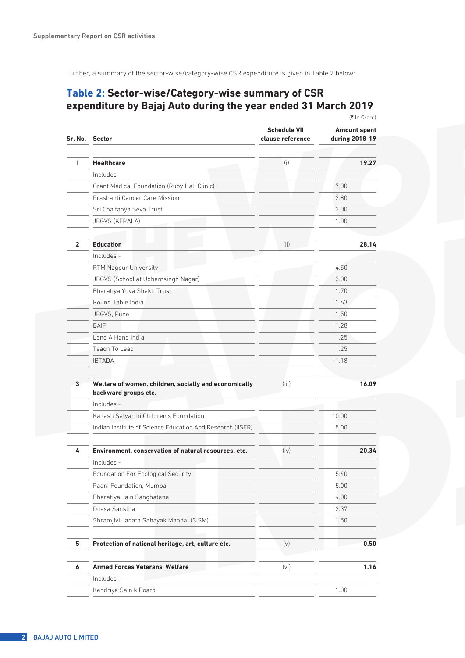Further, a summary of the sector-wise/category-wise CSR expenditure is given in Table 2 below:

## **Table 2: Sector-wise/Category-wise summary of CSR expenditure by Bajaj Auto during the year ended 31 March 2019** (₹ In Crore)

| Sr. No. Sector                                                                | <b>Schedule VII</b><br>clause reference | <b>Amount spent</b><br>during 2018-19 |
|-------------------------------------------------------------------------------|-----------------------------------------|---------------------------------------|
|                                                                               |                                         |                                       |
| <b>Healthcare</b>                                                             | (i)                                     | 19.27                                 |
| Includes -                                                                    |                                         |                                       |
| Grant Medical Foundation (Ruby Hall Clinic)                                   |                                         | 7.00                                  |
| Prashanti Cancer Care Mission                                                 |                                         | 2.80                                  |
| Sri Chaitanya Seva Trust                                                      |                                         | 2.00                                  |
| <b>JBGVS (KERALA)</b>                                                         |                                         | 1.00                                  |
| <b>Education</b>                                                              | (ii)                                    | 28.14                                 |
| Includes -                                                                    |                                         |                                       |
| RTM Nagpur University                                                         |                                         | 4.50                                  |
| JBGVS (School at Udhamsingh Nagar)                                            |                                         | 3.00                                  |
| Bharatiya Yuva Shakti Trust                                                   |                                         | 1.70                                  |
| Round Table India                                                             |                                         | 1.63                                  |
| JBGVS, Pune                                                                   |                                         | 1.50                                  |
| <b>BAIF</b>                                                                   |                                         | 1.28                                  |
| Lend A Hand India                                                             |                                         | 1.25                                  |
| Teach To Lead                                                                 |                                         | 1.25                                  |
| <b>IBTADA</b>                                                                 |                                         | 1.18                                  |
| Welfare of women, children, socially and economically<br>backward groups etc. | (iii)                                   | 16.09                                 |
| Includes -                                                                    |                                         |                                       |
| Kailash Satyarthi Children's Foundation                                       |                                         | 10.00                                 |
| Indian Institute of Science Education And Research (IISER)                    |                                         | 5.00                                  |
| Environment, conservation of natural resources, etc.                          | (iv)                                    | 20.34                                 |
| Includes -                                                                    |                                         |                                       |
| Foundation For Ecological Security                                            |                                         | 5.40                                  |
| Paani Foundation, Mumbai                                                      |                                         | 5.00                                  |
| Bharatiya Jain Sanghatana                                                     |                                         | 4.00                                  |
| Dilasa Sanstha                                                                |                                         | 2.37                                  |
| Shramjivi Janata Sahayak Mandal (SISM)                                        |                                         | 1.50                                  |
| Protection of national heritage, art, culture etc.                            | (v)                                     | 0.50                                  |
| <b>Armed Forces Veterans' Welfare</b>                                         | (vi)                                    | 1.16                                  |
| Includes -                                                                    |                                         |                                       |
| Kendriya Sainik Board                                                         |                                         | 1.00                                  |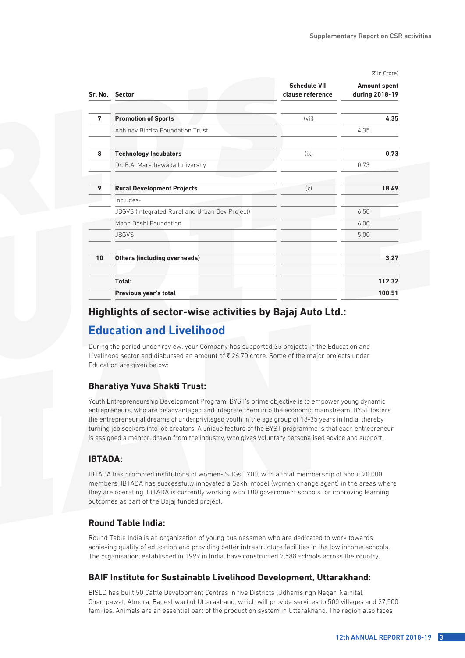(₹ In Crore)

|    | Sr. No. Sector                                 | <b>Schedule VII</b><br>clause reference | <b>Amount spent</b><br>during 2018-19 |
|----|------------------------------------------------|-----------------------------------------|---------------------------------------|
|    |                                                |                                         |                                       |
| 7  | <b>Promotion of Sports</b>                     | (vii)                                   | 4.35                                  |
|    | Abhinay Bindra Foundation Trust                |                                         | 4.35                                  |
| 8  | <b>Technology Incubators</b>                   | (ix)                                    | 0.73                                  |
|    | Dr. B.A. Marathawada University                |                                         | 0.73                                  |
|    |                                                |                                         |                                       |
| 9  | <b>Rural Development Projects</b>              | (x)                                     | 18.49                                 |
|    | Includes-                                      |                                         |                                       |
|    | JBGVS (Integrated Rural and Urban Dev Project) |                                         | 6.50                                  |
|    | Mann Deshi Foundation                          |                                         | 6.00                                  |
|    | <b>JBGVS</b>                                   |                                         | 5.00                                  |
|    |                                                |                                         |                                       |
| 10 | <b>Others (including overheads)</b>            |                                         | 3.27                                  |
|    |                                                |                                         |                                       |
|    | Total:                                         |                                         | 112.32                                |
|    | Previous year's total                          |                                         | 100.51                                |

## **Highlights of sector-wise activities by Bajaj Auto Ltd.:**

## **Education and Livelihood**

During the period under review, your Company has supported 35 projects in the Education and Livelihood sector and disbursed an amount of  $\bar{\tau}$  26.70 crore. Some of the major projects under Education are given below:

### **Bharatiya Yuva Shakti Trust:**

Youth Entrepreneurship Development Program: BYST's prime objective is to empower young dynamic entrepreneurs, who are disadvantaged and integrate them into the economic mainstream. BYST fosters the entrepreneurial dreams of underprivileged youth in the age group of 18-35 years in India, thereby turning job seekers into job creators. A unique feature of the BYST programme is that each entrepreneur is assigned a mentor, drawn from the industry, who gives voluntary personalised advice and support.

## **IBTADA:**

IBTADA has promoted institutions of women- SHGs 1700, with a total membership of about 20,000 members. IBTADA has successfully innovated a Sakhi model (women change agent) in the areas where they are operating. IBTADA is currently working with 100 government schools for improving learning outcomes as part of the Bajaj funded project.

## **Round Table India:**

Round Table India is an organization of young businessmen who are dedicated to work towards achieving quality of education and providing better infrastructure facilities in the low income schools. The organisation, established in 1999 in India, have constructed 2,588 schools across the country.

## **BAIF Institute for Sustainable Livelihood Development, Uttarakhand:**

BISLD has built 50 Cattle Development Centres in five Districts (Udhamsingh Nagar, Nainital, Champawat, Almora, Bageshwar) of Uttarakhand, which will provide services to 500 villages and 27,500 families. Animals are an essential part of the production system in Uttarakhand. The region also faces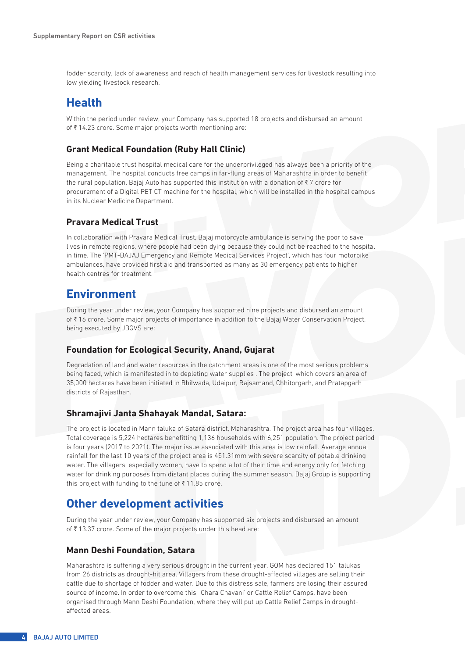fodder scarcity, lack of awareness and reach of health management services for livestock resulting into low yielding livestock research.

# **Health**

Within the period under review, your Company has supported 18 projects and disbursed an amount of  $\bar{\xi}$  14.23 crore. Some major projects worth mentioning are:

## **Grant Medical Foundation (Ruby Hall Clinic)**

Being a charitable trust hospital medical care for the underprivileged has always been a priority of the management. The hospital conducts free camps in far-flung areas of Maharashtra in order to benefit the rural population. Bajaj Auto has supported this institution with a donation of  $\overline{\tau}$  7 crore for procurement of a Digital PET CT machine for the hospital, which will be installed in the hospital campus in its Nuclear Medicine Department.

## **Pravara Medical Trust**

In collaboration with Pravara Medical Trust, Bajaj motorcycle ambulance is serving the poor to save lives in remote regions, where people had been dying because they could not be reached to the hospital in time. The 'PMT-BAJAJ Emergency and Remote Medical Services Project', which has four motorbike ambulances, have provided first aid and transported as many as 30 emergency patients to higher health centres for treatment.

# **Environment**

During the year under review, your Company has supported nine projects and disbursed an amount of ₹16 crore. Some major projects of importance in addition to the Bajaj Water Conservation Project, being executed by JBGVS are:

### **Foundation for Ecological Security, Anand, Gujarat**

Degradation of land and water resources in the catchment areas is one of the most serious problems being faced, which is manifested in to depleting water supplies . The project, which covers an area of 35,000 hectares have been initiated in Bhilwada, Udaipur, Rajsamand, Chhitorgarh, and Pratapgarh districts of Rajasthan.

### **Shramajivi Janta Shahayak Mandal, Satara:**

The project is located in Mann taluka of Satara district, Maharashtra. The project area has four villages. Total coverage is 5,224 hectares benefitting 1,136 households with 6,251 population. The project period is four years (2017 to 2021). The major issue associated with this area is low rainfall. Average annual rainfall for the last 10 years of the project area is 451.31mm with severe scarcity of potable drinking water. The villagers, especially women, have to spend a lot of their time and energy only for fetching water for drinking purposes from distant places during the summer season. Bajaj Group is supporting this project with funding to the tune of  $\bar{\tau}$  11.85 crore.

## **Other development activities**

During the year under review, your Company has supported six projects and disbursed an amount of  $\bar{\tau}$  13.37 crore. Some of the major projects under this head are:

### **Mann Deshi Foundation, Satara**

Maharashtra is suffering a very serious drought in the current year. GOM has declared 151 talukas from 26 districts as drought-hit area. Villagers from these drought-affected villages are selling their cattle due to shortage of fodder and water. Due to this distress sale, farmers are losing their assured source of income. In order to overcome this, 'Chara Chavani' or Cattle Relief Camps, have been organised through Mann Deshi Foundation, where they will put up Cattle Relief Camps in droughtaffected areas.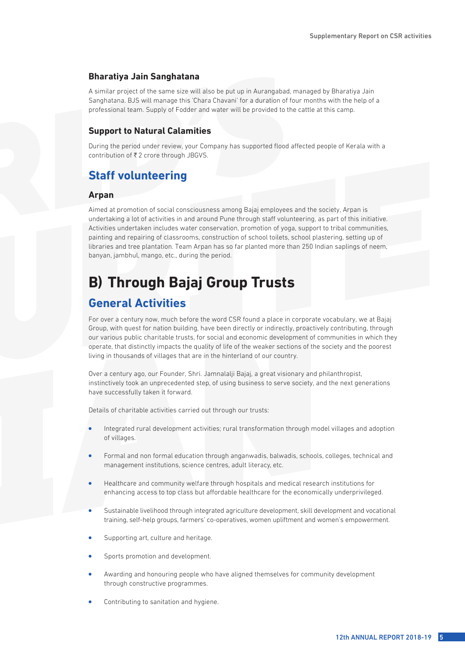#### **Bharatiya Jain Sanghatana**

A similar project of the same size will also be put up in Aurangabad, managed by Bharatiya Jain Sanghatana. BJS will manage this 'Chara Chavani' for a duration of four months with the help of a professional team. Supply of Fodder and water will be provided to the cattle at this camp.

#### **Support to Natural Calamities**

During the period under review, your Company has supported flood affected people of Kerala with a contribution of  $\overline{\mathfrak{k}}$  2 crore through JBGVS.

# **Staff volunteering**

#### **Arpan**

Aimed at promotion of social consciousness among Bajaj employees and the society, Arpan is undertaking a lot of activities in and around Pune through staff volunteering, as part of this initiative. Activities undertaken includes water conservation, promotion of yoga, support to tribal communities, painting and repairing of classrooms, construction of school toilets, school plastering, setting up of libraries and tree plantation. Team Arpan has so far planted more than 250 Indian saplings of neem, banyan, jambhul, mango, etc., during the period.

# **B) Through Bajaj Group Trusts**

## **General Activities**

For over a century now, much before the word CSR found a place in corporate vocabulary, we at Bajaj Group, with quest for nation building, have been directly or indirectly, proactively contributing, through our various public charitable trusts, for social and economic development of communities in which they operate, that distinctly impacts the quality of life of the weaker sections of the society and the poorest living in thousands of villages that are in the hinterland of our country.

Over a century ago, our Founder, Shri. Jamnalalji Bajaj, a great visionary and philanthropist, instinctively took an unprecedented step, of using business to serve society, and the next generations have successfully taken it forward.

Details of charitable activities carried out through our trusts:

- <sup>l</sup> Integrated rural development activities; rural transformation through model villages and adoption of villages.
- Formal and non formal education through anganwadis, balwadis, schools, colleges, technical and management institutions, science centres, adult literacy, etc.
- <sup>l</sup> Healthcare and community welfare through hospitals and medical research institutions for enhancing access to top class but affordable healthcare for the economically underprivileged.
- <sup>l</sup> Sustainable livelihood through integrated agriculture development, skill development and vocational training, self-help groups, farmers' co-operatives, women upliftment and women's empowerment.
- Supporting art, culture and heritage.
- Sports promotion and development.
- <sup>l</sup> Awarding and honouring people who have aligned themselves for community development through constructive programmes.
- Contributing to sanitation and hygiene.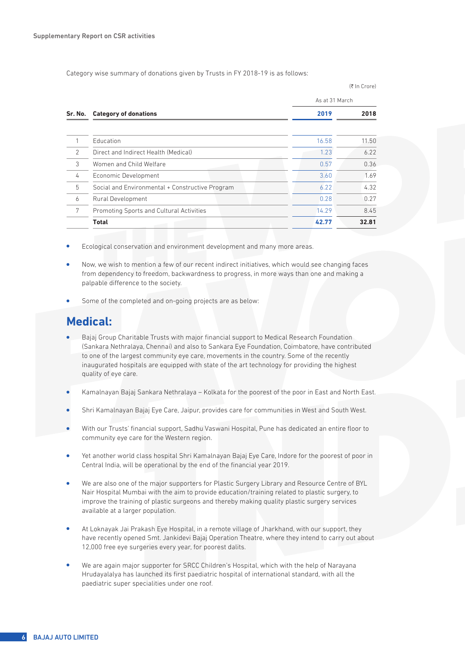Category wise summary of donations given by Trusts in FY 2018-19 is as follows:

|   |                                                 |       | As at 31 March |  |
|---|-------------------------------------------------|-------|----------------|--|
|   | Sr. No. Category of donations                   | 2019  | 2018           |  |
|   |                                                 |       |                |  |
|   | Education                                       | 16.58 | 11.50          |  |
| 2 | Direct and Indirect Health (Medical)            | 1.23  | 6.22           |  |
| 3 | Women and Child Welfare                         | 0.57  | 0.36           |  |
| 4 | Economic Development                            | 3.60  | 1.69           |  |
| 5 | Social and Environmental + Constructive Program | 6.22  | 4.32           |  |
| 6 | Rural Development                               | 0.28  | 0.27           |  |
| 7 | Promoting Sports and Cultural Activities        | 14.29 | 8.45           |  |
|   | <b>Total</b>                                    | 42.77 | 32.81          |  |

(₹ In Crore)

- Ecological conservation and environment development and many more areas.
- <sup>l</sup> Now, we wish to mention a few of our recent indirect initiatives, which would see changing faces from dependency to freedom, backwardness to progress, in more ways than one and making a palpable difference to the society.
- Some of the completed and on-going projects are as below:

# **Medical:**

- <sup>l</sup> Bajaj Group Charitable Trusts with major financial support to Medical Research Foundation (Sankara Nethralaya, Chennai) and also to Sankara Eye Foundation, Coimbatore, have contributed to one of the largest community eye care, movements in the country. Some of the recently inaugurated hospitals are equipped with state of the art technology for providing the highest quality of eye care.
- <sup>l</sup> Kamalnayan Bajaj Sankara Nethralaya Kolkata for the poorest of the poor in East and North East.
- Shri Kamalnayan Bajaj Eye Care, Jaipur, provides care for communities in West and South West.
- <sup>l</sup> With our Trusts' financial support, Sadhu Vaswani Hospital, Pune has dedicated an entire floor to community eye care for the Western region.
- <sup>l</sup> Yet another world class hospital Shri Kamalnayan Bajaj Eye Care, Indore for the poorest of poor in Central India, will be operational by the end of the financial year 2019.
- <sup>l</sup> We are also one of the major supporters for Plastic Surgery Library and Resource Centre of BYL Nair Hospital Mumbai with the aim to provide education/training related to plastic surgery, to improve the training of plastic surgeons and thereby making quality plastic surgery services available at a larger population.
- <sup>l</sup> At Loknayak Jai Prakash Eye Hospital, in a remote village of Jharkhand, with our support, they have recently opened Smt. Jankidevi Bajaj Operation Theatre, where they intend to carry out about 12,000 free eye surgeries every year, for poorest dalits.
- We are again major supporter for SRCC Children's Hospital, which with the help of Narayana Hrudayalalya has launched its first paediatric hospital of international standard, with all the paediatric super specialities under one roof.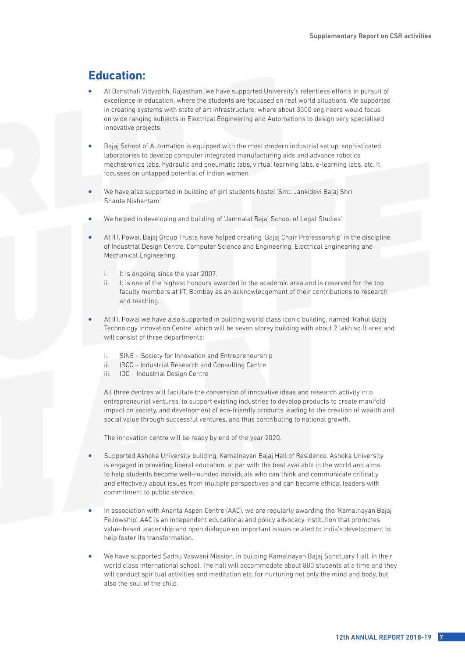# **Education:**

- At Bansthali Vidyapith, Rajasthan, we have supported University's relentless efforts in pursuit of excellence in education, where the students are focussed on real world situations. We supported in creating systems with state of art infrastructure, where about 3000 engineers would focus on wide ranging subjects in Electrical Engineering and Automations to design very specialised innovative projects.
- <sup>l</sup> Bajaj School of Automation is equipped with the most modern industrial set up, sophisticated laboratories to develop computer integrated manufacturing aids and advance robotics mechstronics labs, hydraulic and pneumatic labs, virtual learning labs, e-learning labs, etc. It focusses on untapped potential of Indian women.
- We have also supported in building of girl students hostel 'Smt. Jankidevi Bajaj Shri Shanta Nishantam'.
- We helped in developing and building of 'Jamnalal Bajaj School of Legal Studies'.
- <sup>l</sup> At IIT, Powai, Bajaj Group Trusts have helped creating 'Bajaj Chair Professorship' in the discipline of Industrial Design Centre, Computer Science and Engineering, Electrical Engineering and Mechanical Engineering.
	- i. It is ongoing since the year 2007.
	- ii. It is one of the highest honours awarded in the academic area and is reserved for the top faculty members at IIT, Bombay as an acknowledgement of their contributions to research and teaching.
- <sup>l</sup> At IIT, Powai we have also supported in building world class iconic building, named 'Rahul Bajaj Technology Innovation Centre' which will be seven storey building with about 2 lakh sq.ft area and will consist of three departments:
	- i. SINE Society for Innovation and Entrepreneurship
	- ii. IRCC Industrial Research and Consulting Centre
	- iii. IDC Industrial Design Centre

All three centres will facilitate the conversion of innovative ideas and research activity into entrepreneurial ventures, to support existing industries to develop products to create manifold impact on society, and development of eco-friendly products leading to the creation of wealth and social value through successful ventures, and thus contributing to national growth.

The innovation centre will be ready by end of the year 2020.

- Supported Ashoka University building, Kamalnayan Bajaj Hall of Residence. Ashoka University is engaged in providing liberal education, at par with the best available in the world and aims to help students become well-rounded individuals who can think and communicate critically and effectively about issues from multiple perspectives and can become ethical leaders with commitment to public service.
- In association with Ananta Aspen Centre (AAC), we are regularly awarding the 'Kamalnayan Bajaj Fellowship'. AAC is an independent educational and policy advocacy institution that promotes value-based leadership and open dialogue on important issues related to India's development to help foster its transformation.
- <sup>l</sup> We have supported Sadhu Vaswani Mission, in building Kamalnayan Bajaj Sanctuary Hall, in their world class international school. The hall will accommodate about 800 students at a time and they will conduct spiritual activities and meditation etc. for nurturing not only the mind and body, but also the soul of the child.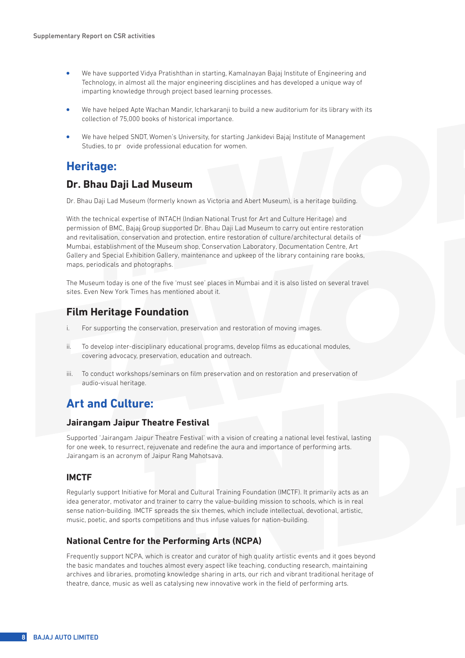- <sup>l</sup> We have supported Vidya Pratishthan in starting, Kamalnayan Bajaj Institute of Engineering and Technology, in almost all the major engineering disciplines and has developed a unique way of imparting knowledge through project based learning processes.
- We have helped Apte Wachan Mandir, Icharkaranji to build a new auditorium for its library with its collection of 75,000 books of historical importance.
- <sup>l</sup> We have helped SNDT, Women's University, for starting Jankidevi Bajaj Institute of Management Studies, to pr ovide professional education for women.

## **Heritage:**

## **Dr. Bhau Daji Lad Museum**

Dr. Bhau Daji Lad Museum (formerly known as Victoria and Abert Museum), is a heritage building.

With the technical expertise of INTACH (Indian National Trust for Art and Culture Heritage) and permission of BMC, Bajaj Group supported Dr. Bhau Daji Lad Museum to carry out entire restoration and revitalisation, conservation and protection, entire restoration of culture/architectural details of Mumbai, establishment of the Museum shop, Conservation Laboratory, Documentation Centre, Art Gallery and Special Exhibition Gallery, maintenance and upkeep of the library containing rare books, maps, periodicals and photographs.

The Museum today is one of the five 'must see' places in Mumbai and it is also listed on several travel sites. Even New York Times has mentioned about it.

## **Film Heritage Foundation**

- i. For supporting the conservation, preservation and restoration of moving images.
- ii. To develop inter-disciplinary educational programs, develop films as educational modules, covering advocacy, preservation, education and outreach.
- iii. To conduct workshops/seminars on film preservation and on restoration and preservation of audio-visual heritage.

# **Art and Culture:**

### **Jairangam Jaipur Theatre Festival**

Supported 'Jairangam Jaipur Theatre Festival' with a vision of creating a national level festival, lasting for one week, to resurrect, rejuvenate and redefine the aura and importance of performing arts. Jairangam is an acronym of Jaipur Rang Mahotsava.

### **IMCTF**

Regularly support Initiative for Moral and Cultural Training Foundation (IMCTF). It primarily acts as an idea generator, motivator and trainer to carry the value-building mission to schools, which is in real sense nation-building. IMCTF spreads the six themes, which include intellectual, devotional, artistic, music, poetic, and sports competitions and thus infuse values for nation-building.

### **National Centre for the Performing Arts (NCPA)**

Frequently support NCPA, which is creator and curator of high quality artistic events and it goes beyond the basic mandates and touches almost every aspect like teaching, conducting research, maintaining archives and libraries, promoting knowledge sharing in arts, our rich and vibrant traditional heritage of theatre, dance, music as well as catalysing new innovative work in the field of performing arts.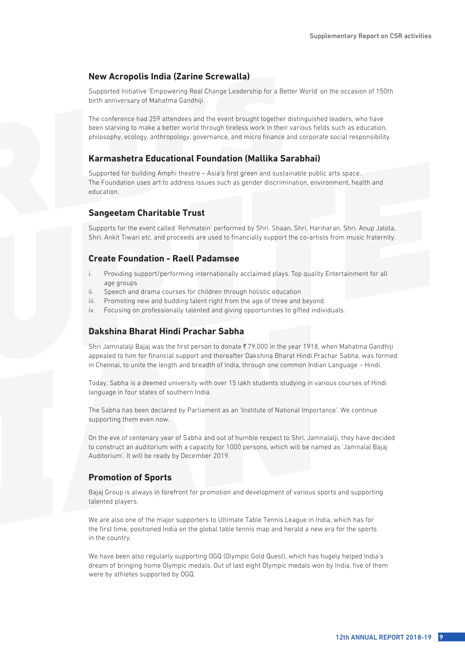## **New Acropolis India (Zarine Screwalla)**

Supported Initiative 'Empowering Real Change Leadership for a Better World' on the occasion of 150th birth anniversary of Mahatma Gandhiji.

The conference had 259 attendees and the event brought together distinguished leaders, who have been starving to make a better world through tireless work in their various fields such as education, philosophy, ecology, anthropology, governance, and micro finance and corporate social responsibility.

## **Karmashetra Educational Foundation (Mallika Sarabhai)**

Supported for building Amphi theatre – Asia's first green and sustainable public arts space. The Foundation uses art to address issues such as gender discrimination, environment, health and education.

### **Sangeetam Charitable Trust**

Supports for the event called 'Rehmatein' performed by Shri. Shaan, Shri. Hariharan, Shri. Anup Jalota, Shri. Ankit Tiwari etc. and proceeds are used to financially support the co-artists from music fraternity.

### **Create Foundation - Raell Padamsee**

- i. Providing support/performing internationally acclaimed plays. Top quality Entertainment for all age groups
- ii. Speech and drama courses for children through holistic education
- iii. Promoting new and budding talent right from the age of three and beyond.
- iv. Focusing on professionally talented and giving opportunities to gifted individuals.

## **Dakshina Bharat Hindi Prachar Sabha**

Shri Jamnalalji Bajaj was the first person to donate ₹79,000 in the year 1918, when Mahatma Gandhiji appealed to him for financial support and thereafter Dakshina Bharat Hindi Prachar Sabha, was formed in Chennai, to unite the length and breadth of India, through one common Indian Language – Hindi.

Today, Sabha is a deemed university with over 15 lakh students studying in various courses of Hindi language in four states of southern India.

The Sabha has been declared by Parliament as an 'Institute of National Importance'. We continue supporting them even now.

On the eve of centenary year of Sabha and out of humble respect to Shri. Jamnalalji, they have decided to construct an auditorium with a capacity for 1000 persons, which will be named as 'Jamnalal Bajaj Auditorium'. It will be ready by December 2019.

### **Promotion of Sports**

Bajaj Group is always in forefront for promotion and development of various sports and supporting talented players.

We are also one of the major supporters to Ultimate Table Tennis League in India, which has for the first time, positioned India on the global table tennis map and herald a new era for the sports in the country.

We have been also regularly supporting OGQ (Olympic Gold Quest), which has hugely helped India's dream of bringing home Olympic medals. Out of last eight Olympic medals won by India, five of them were by athletes supported by OGQ.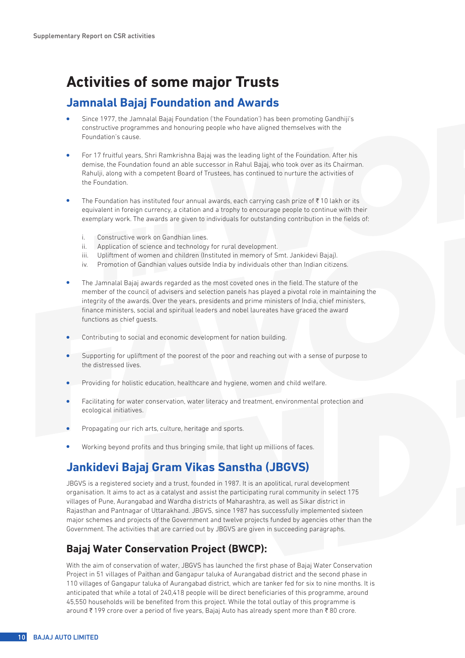# **Activities of some major Trusts**

# **Jamnalal Bajaj Foundation and Awards**

- <sup>l</sup> Since 1977, the Jamnalal Bajaj Foundation ('the Foundation') has been promoting Gandhiji's constructive programmes and honouring people who have aligned themselves with the Foundation's cause.
- <sup>l</sup> For 17 fruitful years, Shri Ramkrishna Bajaj was the leading light of the Foundation. After his demise, the Foundation found an able successor in Rahul Bajaj, who took over as its Chairman. Rahulji, along with a competent Board of Trustees, has continued to nurture the activities of the Foundation.
- The Foundation has instituted four annual awards, each carrying cash prize of  $\bar{\tau}$  10 lakh or its equivalent in foreign currency, a citation and a trophy to encourage people to continue with their exemplary work. The awards are given to individuals for outstanding contribution in the fields of:
	- i. Constructive work on Gandhian lines.
	- ii. Application of science and technology for rural development.
	- iii. Upliftment of women and children (Instituted in memory of Smt. Jankidevi Bajaj).
	- iv. Promotion of Gandhian values outside India by individuals other than Indian citizens.
- <sup>l</sup> The Jamnalal Bajaj awards regarded as the most coveted ones in the field. The stature of the member of the council of advisers and selection panels has played a pivotal role in maintaining the integrity of the awards. Over the years, presidents and prime ministers of India, chief ministers, finance ministers, social and spiritual leaders and nobel laureates have graced the award functions as chief guests.
- Contributing to social and economic development for nation building.
- <sup>l</sup> Supporting for upliftment of the poorest of the poor and reaching out with a sense of purpose to the distressed lives.
- Providing for holistic education, healthcare and hygiene, women and child welfare.
- Facilitating for water conservation, water literacy and treatment, environmental protection and ecological initiatives.
- Propagating our rich arts, culture, heritage and sports.
- Working beyond profits and thus bringing smile, that light up millions of faces.

# **Jankidevi Bajaj Gram Vikas Sanstha (JBGVS)**

JBGVS is a registered society and a trust, founded in 1987. It is an apolitical, rural development organisation. It aims to act as a catalyst and assist the participating rural community in select 175 villages of Pune, Aurangabad and Wardha districts of Maharashtra, as well as Sikar district in Rajasthan and Pantnagar of Uttarakhand. JBGVS, since 1987 has successfully implemented sixteen major schemes and projects of the Government and twelve projects funded by agencies other than the Government. The activities that are carried out by JBGVS are given in succeeding paragraphs.

# **Bajaj Water Conservation Project (BWCP):**

With the aim of conservation of water, JBGVS has launched the first phase of Bajaj Water Conservation Project in 51 villages of Paithan and Gangapur taluka of Aurangabad district and the second phase in 110 villages of Gangapur taluka of Aurangabad district, which are tanker fed for six to nine months. It is anticipated that while a total of 240,418 people will be direct beneficiaries of this programme, around 45,550 households will be benefited from this project. While the total outlay of this programme is around ₹199 crore over a period of five years, Bajaj Auto has already spent more than ₹80 crore.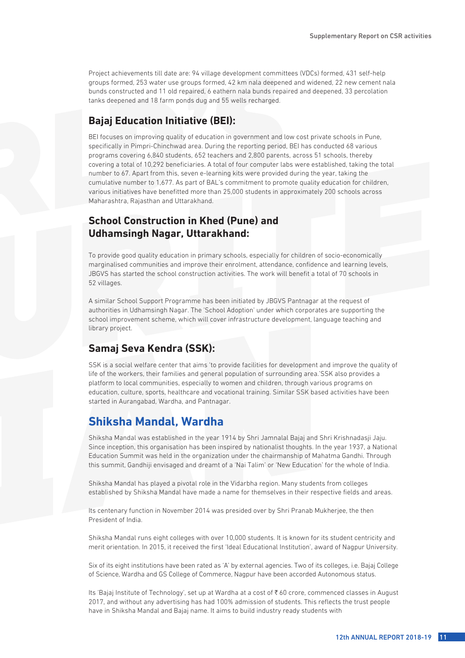Project achievements till date are: 94 village development committees (VDCs) formed, 431 self-help groups formed, 253 water use groups formed, 42 km nala deepened and widened, 22 new cement nala bunds constructed and 11 old repaired, 6 eathern nala bunds repaired and deepened, 33 percolation tanks deepened and 18 farm ponds dug and 55 wells recharged.

## **Bajaj Education Initiative (BEI):**

BEI focuses on improving quality of education in government and low cost private schools in Pune, specifically in Pimpri-Chinchwad area. During the reporting period, BEI has conducted 68 various programs covering 6,840 students, 652 teachers and 2,800 parents, across 51 schools, thereby covering a total of 10,292 beneficiaries. A total of four computer labs were established, taking the total number to 67. Apart from this, seven e-learning kits were provided during the year, taking the cumulative number to 1,677. As part of BAL's commitment to promote quality education for children, various initiatives have benefitted more than 25,000 students in approximately 200 schools across Maharashtra, Rajasthan and Uttarakhand.

## **School Construction in Khed (Pune) and Udhamsingh Nagar, Uttarakhand:**

To provide good quality education in primary schools, especially for children of socio-economically marginalised communities and improve their enrolment, attendance, confidence and learning levels, JBGVS has started the school construction activities. The work will benefit a total of 70 schools in 52 villages.

A similar School Support Programme has been initiated by JBGVS Pantnagar at the request of authorities in Udhamsingh Nagar. The 'School Adoption' under which corporates are supporting the school improvement scheme, which will cover infrastructure development, language teaching and library project.

## **Samaj Seva Kendra (SSK):**

SSK is a social welfare center that aims 'to provide facilities for development and improve the quality of life of the workers, their families and general population of surrounding area.'SSK also provides a platform to local communities, especially to women and children, through various programs on education, culture, sports, healthcare and vocational training. Similar SSK based activities have been started in Aurangabad, Wardha, and Pantnagar.

# **Shiksha Mandal, Wardha**

Shiksha Mandal was established in the year 1914 by Shri Jamnalal Bajaj and Shri Krishnadasji Jaju. Since inception, this organisation has been inspired by nationalist thoughts. In the year 1937, a National Education Summit was held in the organization under the chairmanship of Mahatma Gandhi. Through this summit, Gandhiji envisaged and dreamt of a 'Nai Talim' or 'New Education' for the whole of India.

Shiksha Mandal has played a pivotal role in the Vidarbha region. Many students from colleges established by Shiksha Mandal have made a name for themselves in their respective fields and areas.

Its centenary function in November 2014 was presided over by Shri Pranab Mukherjee, the then President of India.

Shiksha Mandal runs eight colleges with over 10,000 students. It is known for its student centricity and merit orientation. In 2015, it received the first 'Ideal Educational Institution', award of Nagpur University.

Six of its eight institutions have been rated as 'A' by external agencies. Two of its colleges, i.e. Bajaj College of Science, Wardha and GS College of Commerce, Nagpur have been accorded Autonomous status.

Its 'Bajaj Institute of Technology', set up at Wardha at a cost of ₹60 crore, commenced classes in August 2017, and without any advertising has had 100% admission of students. This reflects the trust people have in Shiksha Mandal and Bajaj name. It aims to build industry ready students with